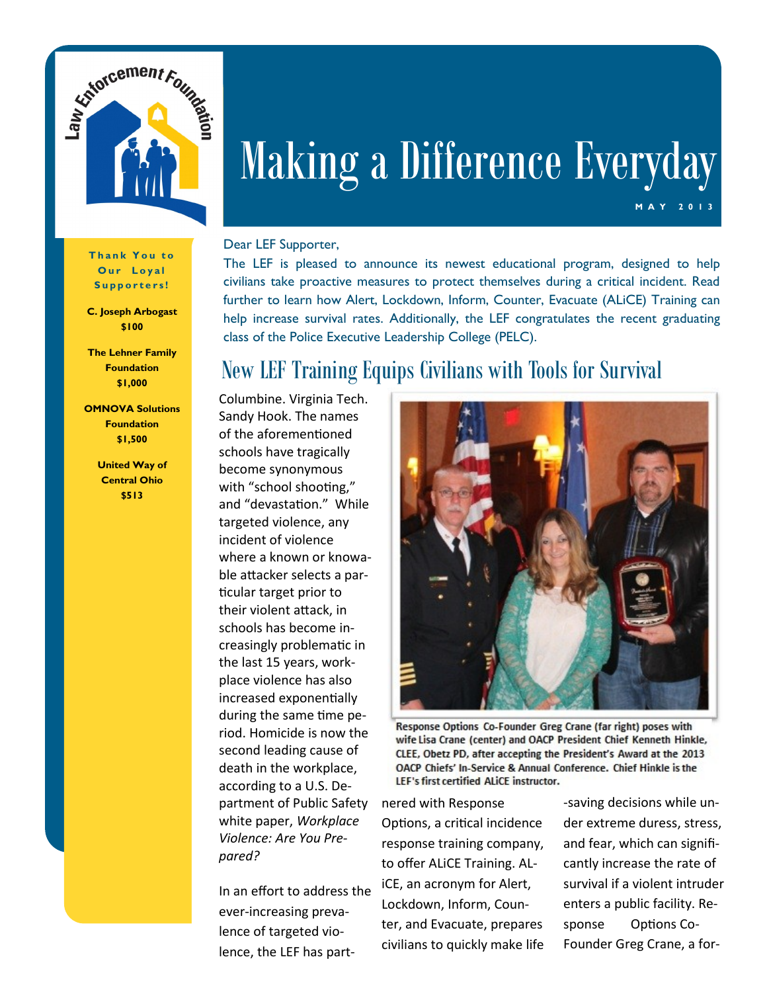

# Making a Difference Everyday

#### Dear LEF Supporter,

The LEF is pleased to announce its newest educational program, designed to help civilians take proactive measures to protect themselves during a critical incident. Read further to learn how Alert, Lockdown, Inform, Counter, Evacuate (ALiCE) Training can help increase survival rates. Additionally, the LEF congratulates the recent graduating class of the Police Executive Leadership College (PELC).

# New LEF Training Equips Civilians with Tools for Survival

Columbine. Virginia Tech. Sandy Hook. The names of the aforementioned schools have tragically become synonymous with "school shooting," and "devastation." While targeted violence, any incident of violence where a known or knowable attacker selects a particular target prior to their violent attack, in schools has become increasingly problematic in the last 15 years, workplace violence has also increased exponentially during the same time period. Homicide is now the second leading cause of death in the workplace, according to a U.S. Department of Public Safety white paper, *Workplace Violence: Are You Prepared?*

In an effort to address the ever-increasing prevalence of targeted violence, the LEF has part-



Response Options Co-Founder Greg Crane (far right) poses with wife Lisa Crane (center) and OACP President Chief Kenneth Hinkle, CLEE, Obetz PD, after accepting the President's Award at the 2013 OACP Chiefs' In-Service & Annual Conference. Chief Hinkle is the LEF's first certified ALICE instructor.

nered with Response Options, a critical incidence response training company, to offer ALiCE Training. ALiCE, an acronym for Alert, Lockdown, Inform, Counter, and Evacuate, prepares civilians to quickly make life -saving decisions while under extreme duress, stress, and fear, which can significantly increase the rate of survival if a violent intruder enters a public facility. Response Options Co-Founder Greg Crane, a for-

**M A Y 20** 

**Thank You to** Our Loyal **S u p p o r t e r s !**

**C. Joseph Arbogast \$100**

**The Lehner Family Foundation \$1,000**

**OMNOVA Solutions Foundation \$1,500**

> **United Way of Central Ohio \$513**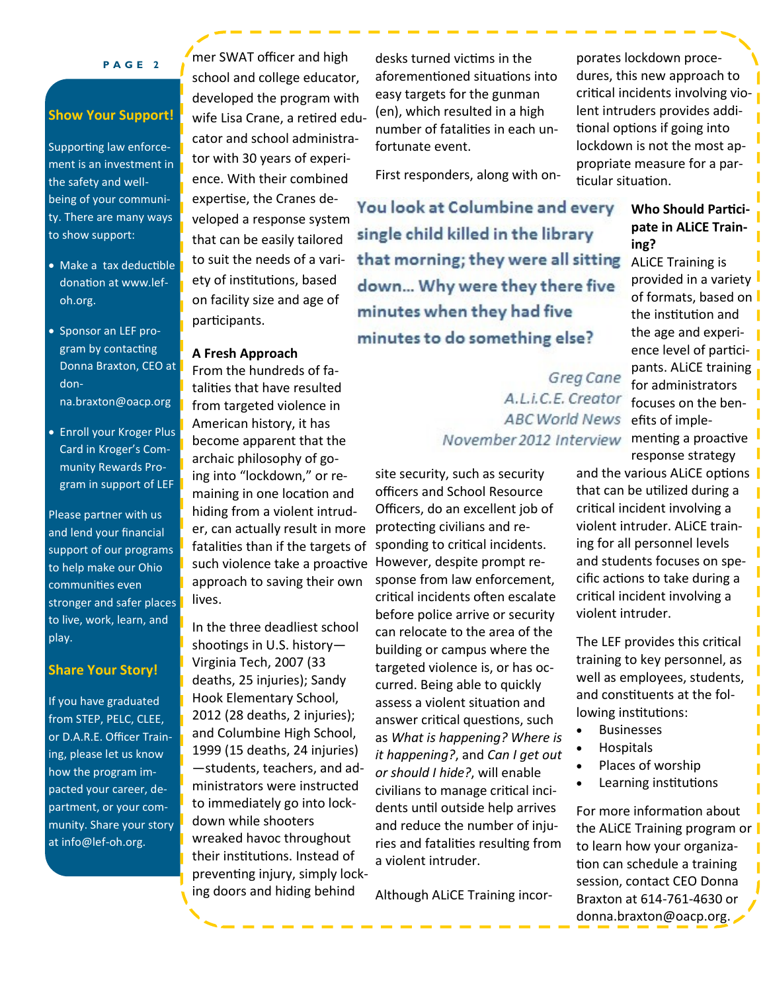#### **P A G E 2**

## **Show Your Support!**

Supporting law enforcement is an investment in the safety and wellbeing of your community. There are many ways to show support:

- Make a tax deductible donation at www.lefoh.org.
- Sponsor an LEF program by contacting Donna Braxton, CEO at donna.braxton@oacp.org
- Enroll your Kroger Plus Card in Kroger's Community Rewards Program in support of LEF

Please partner with us and lend your financial support of our programs to help make our Ohio communities even stronger and safer places to live, work, learn, and play.

#### **Share Your Story!**

If you have graduated from STEP, PELC, CLEE, or D.A.R.E. Officer Training, please let us know how the program impacted your career, department, or your community. Share your story at info@lef-oh.org.

mer SWAT officer and high school and college educator, developed the program with wife Lisa Crane, a retired educator and school administrator with 30 years of experience. With their combined expertise, the Cranes developed a response system that can be easily tailored to suit the needs of a variety of institutions, based on facility size and age of participants.

### **A Fresh Approach**

From the hundreds of fatalities that have resulted from targeted violence in American history, it has become apparent that the archaic philosophy of going into "lockdown," or remaining in one location and hiding from a violent intruder, can actually result in more fatalities than if the targets of such violence take a proactive However, despite prompt reapproach to saving their own lives.

In the three deadliest school shootings in U.S. history— Virginia Tech, 2007 (33 deaths, 25 injuries); Sandy Hook Elementary School, 2012 (28 deaths, 2 injuries); and Columbine High School, 1999 (15 deaths, 24 injuries) —students, teachers, and administrators were instructed to immediately go into lockdown while shooters wreaked havoc throughout their institutions. Instead of preventing injury, simply locking doors and hiding behind

desks turned victims in the aforementioned situations into easy targets for the gunman (en), which resulted in a high number of fatalities in each unfortunate event.

First responders, along with on-

You look at Columbine and every single child killed in the library that morning; they were all sitting down... Why were they there five minutes when they had five minutes to do something else?

> Greg Cane A.L.i.C.E. Creator **ABC World News** November 2012 Interview menting a proactive

site security, such as security officers and School Resource Officers, do an excellent job of protecting civilians and responding to critical incidents. sponse from law enforcement, critical incidents often escalate before police arrive or security can relocate to the area of the building or campus where the targeted violence is, or has occurred. Being able to quickly assess a violent situation and answer critical questions, such as *What is happening? Where is it happening?*, and *Can I get out or should I hide?*, will enable civilians to manage critical incidents until outside help arrives and reduce the number of injuries and fatalities resulting from a violent intruder.

Although ALiCE Training incor-

porates lockdown procedures, this new approach to critical incidents involving violent intruders provides additional options if going into lockdown is not the most appropriate measure for a particular situation.

# **Who Should Participate in ALiCE Training?**

ALiCE Training is provided in a variety of formats, based on the institution and the age and experience level of participants. ALiCE training for administrators focuses on the benefits of impleresponse strategy

and the various ALICE options that can be utilized during a critical incident involving a violent intruder. ALiCE training for all personnel levels and students focuses on specific actions to take during a critical incident involving a violent intruder.

The LEF provides this critical training to key personnel, as well as employees, students, and constituents at the following institutions:

- Businesses
- Hospitals
- Places of worship
- Learning institutions

For more information about the ALiCE Training program or to learn how your organization can schedule a training session, contact CEO Donna Braxton at 614-761-4630 or donna.braxton@oacp.org.